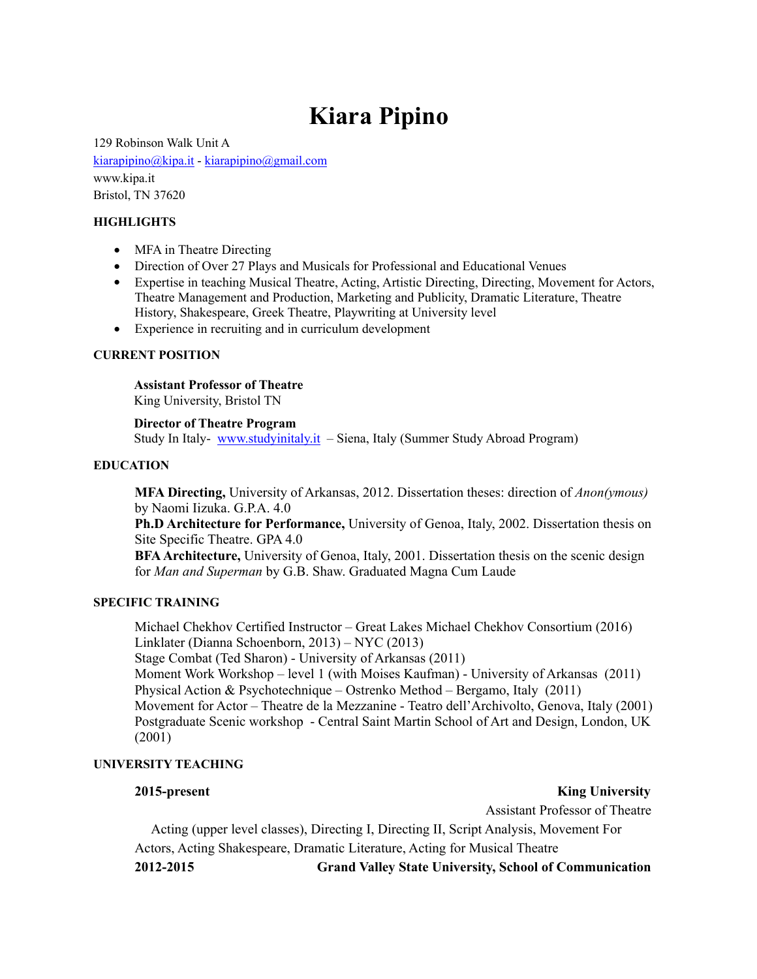# **Kiara Pipino**

129 Robinson Walk Unit A [kiarapipino@kipa.it](mailto:kiarapipino@kipa.it) - [kiarapipino@gmail.com](mailto:kiarapipino@gmail.com) www.kipa.it Bristol, TN 37620

#### **HIGHLIGHTS**

- MFA in Theatre Directing
- Direction of Over 27 Plays and Musicals for Professional and Educational Venues
- Expertise in teaching Musical Theatre, Acting, Artistic Directing, Directing, Movement for Actors, Theatre Management and Production, Marketing and Publicity, Dramatic Literature, Theatre History, Shakespeare, Greek Theatre, Playwriting at University level
- Experience in recruiting and in curriculum development

#### **CURRENT POSITION**

# **Assistant Professor of Theatre**

King University, Bristol TN

#### **Director of Theatre Program**

Study In Italy- [www.studyinitaly.it](http://www.studyinitaly.it) – Siena, Italy (Summer Study Abroad Program)

#### **EDUCATION**

**MFA Directing,** University of Arkansas, 2012. Dissertation theses: direction of *Anon(ymous)* by Naomi Iizuka. G.P.A. 4.0

**Ph.D Architecture for Performance,** University of Genoa, Italy, 2002. Dissertation thesis on Site Specific Theatre. GPA 4.0

**BFAArchitecture,** University of Genoa, Italy, 2001. Dissertation thesis on the scenic design for *Man and Superman* by G.B. Shaw. Graduated Magna Cum Laude

#### **SPECIFIC TRAINING**

Michael Chekhov Certified Instructor – Great Lakes Michael Chekhov Consortium (2016) Linklater (Dianna Schoenborn, 2013) – NYC (2013)

Stage Combat (Ted Sharon) - University of Arkansas (2011)

Moment Work Workshop – level 1 (with Moises Kaufman) - University of Arkansas (2011) Physical Action & Psychotechnique – Ostrenko Method – Bergamo, Italy (2011)

Movement for Actor – Theatre de la Mezzanine - Teatro dell'Archivolto, Genova, Italy (2001) Postgraduate Scenic workshop - Central Saint Martin School of Art and Design, London, UK (2001)

# **UNIVERSITY TEACHING**

**2015-present** King University

Assistant Professor of Theatre

 Acting (upper level classes), Directing I, Directing II, Script Analysis, Movement For Actors, Acting Shakespeare, Dramatic Literature, Acting for Musical Theatre **2012-2015 Grand Valley State University, School of Communication**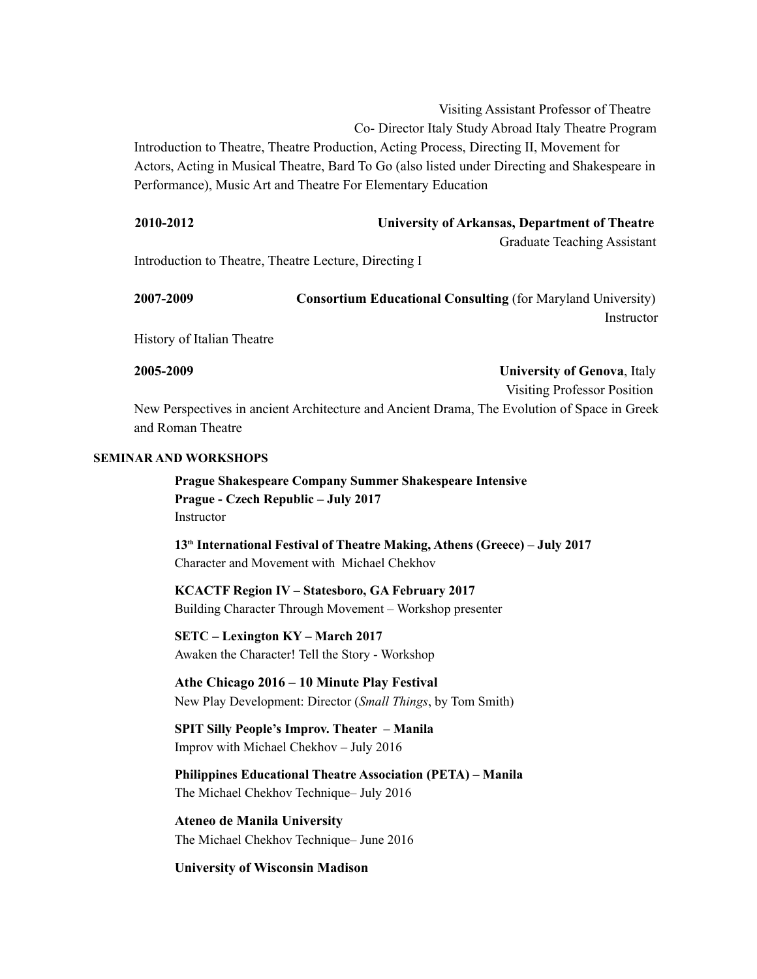Visiting Assistant Professor of Theatre Co- Director Italy Study Abroad Italy Theatre Program Introduction to Theatre, Theatre Production, Acting Process, Directing II, Movement for Actors, Acting in Musical Theatre, Bard To Go (also listed under Directing and Shakespeare in Performance), Music Art and Theatre For Elementary Education

| 2010-2012 | University of Arkansas, Department of Theatre |                                    |
|-----------|-----------------------------------------------|------------------------------------|
|           |                                               | <b>Graduate Teaching Assistant</b> |

Introduction to Theatre, Theatre Lecture, Directing I

| 2007-2009 | <b>Consortium Educational Consulting (for Maryland University)</b> |            |
|-----------|--------------------------------------------------------------------|------------|
|           |                                                                    | Instructor |

History of Italian Theatre

**2005-2009 University of Genova**, Italy Visiting Professor Position

New Perspectives in ancient Architecture and Ancient Drama, The Evolution of Space in Greek and Roman Theatre

# **SEMINAR AND WORKSHOPS**

**Prague Shakespeare Company Summer Shakespeare Intensive Prague - Czech Republic – July 2017** Instructor

**13th International Festival of Theatre Making, Athens (Greece) – July 2017** Character and Movement with Michael Chekhov

**KCACTF Region IV – Statesboro, GA February 2017** Building Character Through Movement – Workshop presenter

**SETC – Lexington KY – March 2017** Awaken the Character! Tell the Story - Workshop

**Athe Chicago 2016 – 10 Minute Play Festival**  New Play Development: Director (*Small Things*, by Tom Smith)

**SPIT Silly People's Improv. Theater – Manila**  Improv with Michael Chekhov – July 2016

**Philippines Educational Theatre Association (PETA) – Manila**  The Michael Chekhov Technique– July 2016

**Ateneo de Manila University**  The Michael Chekhov Technique– June 2016

# **University of Wisconsin Madison**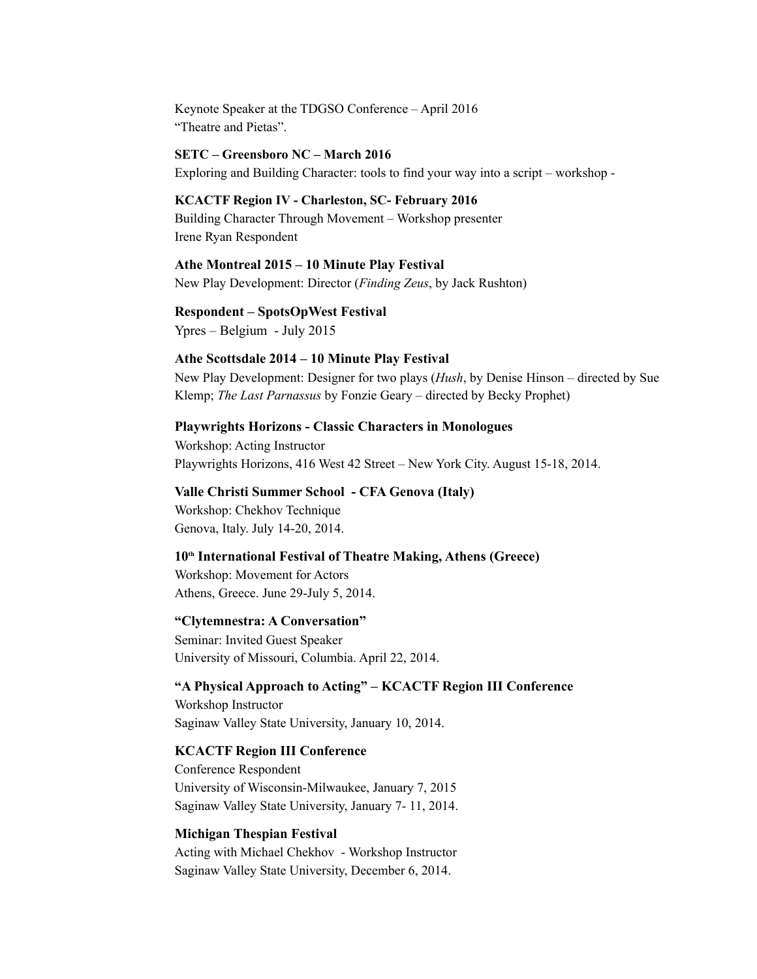Keynote Speaker at the TDGSO Conference – April 2016 "Theatre and Pietas".

#### **SETC – Greensboro NC – March 2016**

Exploring and Building Character: tools to find your way into a script – workshop -

# **KCACTF Region IV - Charleston, SC- February 2016**

Building Character Through Movement – Workshop presenter Irene Ryan Respondent

# **Athe Montreal 2015 – 10 Minute Play Festival**

New Play Development: Director (*Finding Zeus*, by Jack Rushton)

# **Respondent – SpotsOpWest Festival**

Ypres – Belgium - July 2015

#### **Athe Scottsdale 2014 – 10 Minute Play Festival**

New Play Development: Designer for two plays (*Hush*, by Denise Hinson – directed by Sue Klemp; *The Last Parnassus* by Fonzie Geary – directed by Becky Prophet)

#### **Playwrights Horizons - Classic Characters in Monologues**

Workshop: Acting Instructor Playwrights Horizons, 416 West 42 Street – New York City. August 15-18, 2014.

#### **Valle Christi Summer School - CFA Genova (Italy)**

Workshop: Chekhov Technique Genova, Italy. July 14-20, 2014.

# 10<sup>th</sup> International Festival of Theatre Making, Athens (Greece)

Workshop: Movement for Actors Athens, Greece. June 29-July 5, 2014.

#### **"Clytemnestra: A Conversation"**

Seminar: Invited Guest Speaker University of Missouri, Columbia. April 22, 2014.

# **"A Physical Approach to Acting" – KCACTF Region III Conference**

Workshop Instructor Saginaw Valley State University, January 10, 2014.

#### **KCACTF Region III Conference**

Conference Respondent University of Wisconsin-Milwaukee, January 7, 2015 Saginaw Valley State University, January 7- 11, 2014.

#### **Michigan Thespian Festival**

Acting with Michael Chekhov - Workshop Instructor Saginaw Valley State University, December 6, 2014.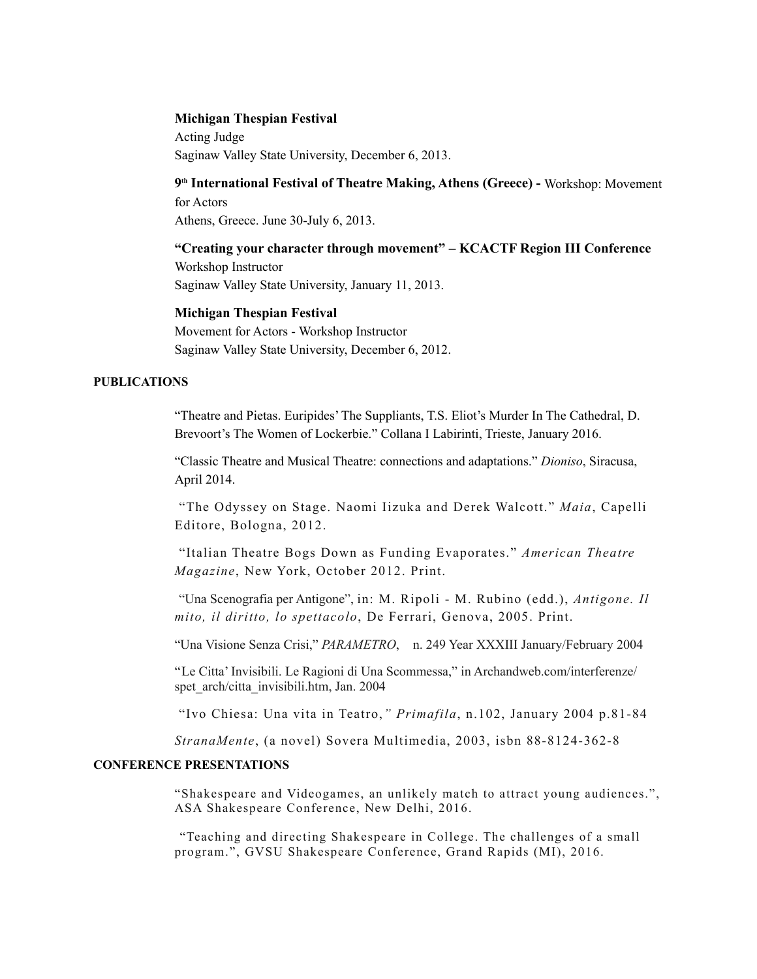#### **Michigan Thespian Festival**

Acting Judge Saginaw Valley State University, December 6, 2013.

**9th International Festival of Theatre Making, Athens (Greece) -** Workshop: Movement for Actors Athens, Greece. June 30-July 6, 2013.

#### **"Creating your character through movement" – KCACTF Region III Conference**

Workshop Instructor Saginaw Valley State University, January 11, 2013.

#### **Michigan Thespian Festival**

Movement for Actors - Workshop Instructor Saginaw Valley State University, December 6, 2012.

#### **PUBLICATIONS**

"Theatre and Pietas. Euripides' The Suppliants, T.S. Eliot's Murder In The Cathedral, D. Brevoort's The Women of Lockerbie." Collana I Labirinti, Trieste, January 2016.

"Classic Theatre and Musical Theatre: connections and adaptations." *Dioniso*, Siracusa, April 2014.

"The Odyssey on Stage. Naomi Iizuka and Derek Walcott." *Maia*, Capelli Editore, Bologna, 2012.

"Italian Theatre Bogs Down as Funding Evaporates." *American Theatre Magazine*, New York, October 2012. Print.

"Una Scenografia per Antigone", in: M. Ripoli - M. Rubino (edd.), *Antigone. Il mito, il diritto, lo spettacolo*, De Ferrari, Genova, 2005. Print.

"Una Visione Senza Crisi," *PARAMETRO*, n. 249 Year XXXIII January/February 2004

"Le Citta' Invisibili. Le Ragioni di Una Scommessa," in Archandweb.com/interferenze/ spet\_arch/citta\_invisibili.htm, Jan. 2004

"Ivo Chiesa: Una vita in Teatro,*" Primafila*, n.102, January 2004 p.81-84

*StranaMente*, (a novel) Sovera Multimedia, 2003, isbn 88-8124-362-8

#### **CONFERENCE PRESENTATIONS**

"Shakespeare and Videogames, an unlikely match to attract young audiences.", ASA Shakespeare Conference, New Delhi, 2016.

"Teaching and directing Shakespeare in College. The challenges of a small program.", GVSU Shakespeare Conference, Grand Rapids (MI), 2016.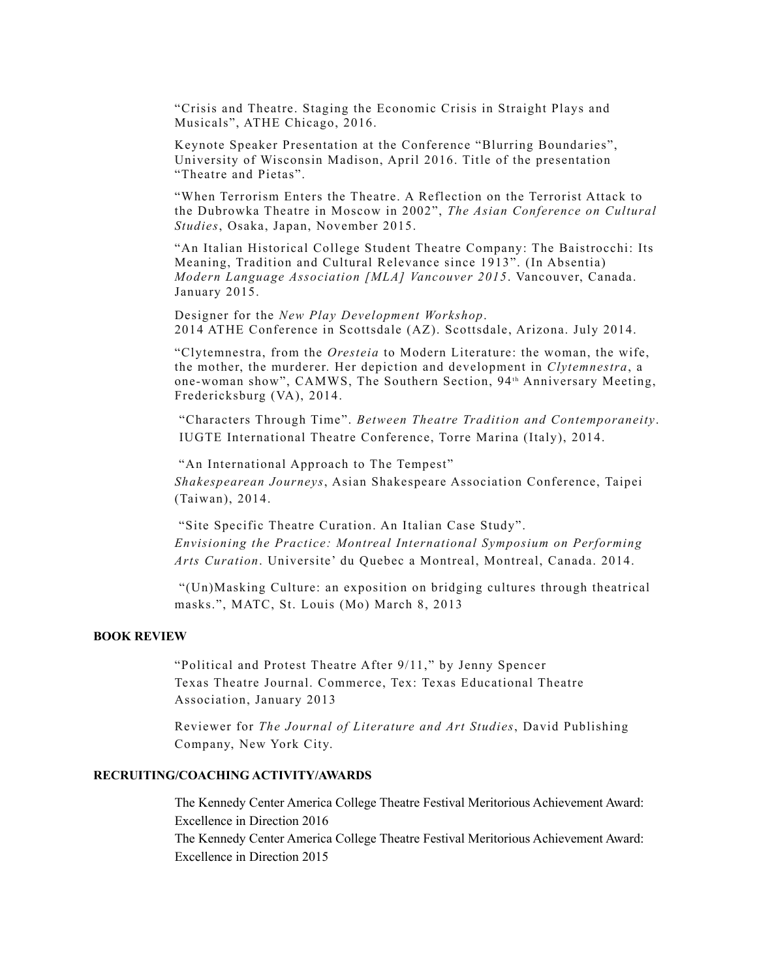"Crisis and Theatre. Staging the Economic Crisis in Straight Plays and Musicals", ATHE Chicago, 2016.

Keynote Speaker Presentation at the Conference "Blurring Boundaries", University of Wisconsin Madison, April 2016. Title of the presentation "Theatre and Pietas".

"When Terrorism Enters the Theatre. A Reflection on the Terrorist Attack to the Dubrowka Theatre in Moscow in 2002", *The Asian Conference on Cultural Studies*, Osaka, Japan, November 2015.

"An Italian Historical College Student Theatre Company: The Baistrocchi: Its Meaning, Tradition and Cultural Relevance since 1913". (In Absentia) *Modern Language Association [MLA] Vancouver 2015*. Vancouver, Canada. January 2015.

Designer for the *New Play Development Workshop*. 2014 ATHE Conference in Scottsdale (AZ). Scottsdale, Arizona. July 2014.

"Clytemnestra, from the *Oresteia* to Modern Literature: the woman, the wife, the mother, the murderer. Her depiction and development in *Clytemnestra*, a one-woman show", CAMWS, The Southern Section, 94<sup>th</sup> Anniversary Meeting, Fredericksburg (VA), 2014.

"Characters Through Time". *Between Theatre Tradition and Contemporaneity*. IUGTE International Theatre Conference, Torre Marina (Italy), 2014.

"An International Approach to The Tempest" *Shakespearean Journeys*, Asian Shakespeare Association Conference, Taipei (Taiwan), 2014.

"Site Specific Theatre Curation. An Italian Case Study". *Envisioning the Practice: Montreal International Symposium on Performing Arts Curation*. Universite' du Quebec a Montreal, Montreal, Canada. 2014.

"(Un)Masking Culture: an exposition on bridging cultures through theatrical masks.", MATC, St. Louis (Mo) March 8, 2013

#### **BOOK REVIEW**

"Political and Protest Theatre After 9/11," by Jenny Spencer Texas Theatre Journal. Commerce, Tex: Texas Educational Theatre Association, January 2013

Reviewer for *The Journal of Literature and Art Studies*, David Publishing Company, New York City.

# **RECRUITING/COACHING ACTIVITY/AWARDS**

The Kennedy Center America College Theatre Festival Meritorious Achievement Award: Excellence in Direction 2016 The Kennedy Center America College Theatre Festival Meritorious Achievement Award: Excellence in Direction 2015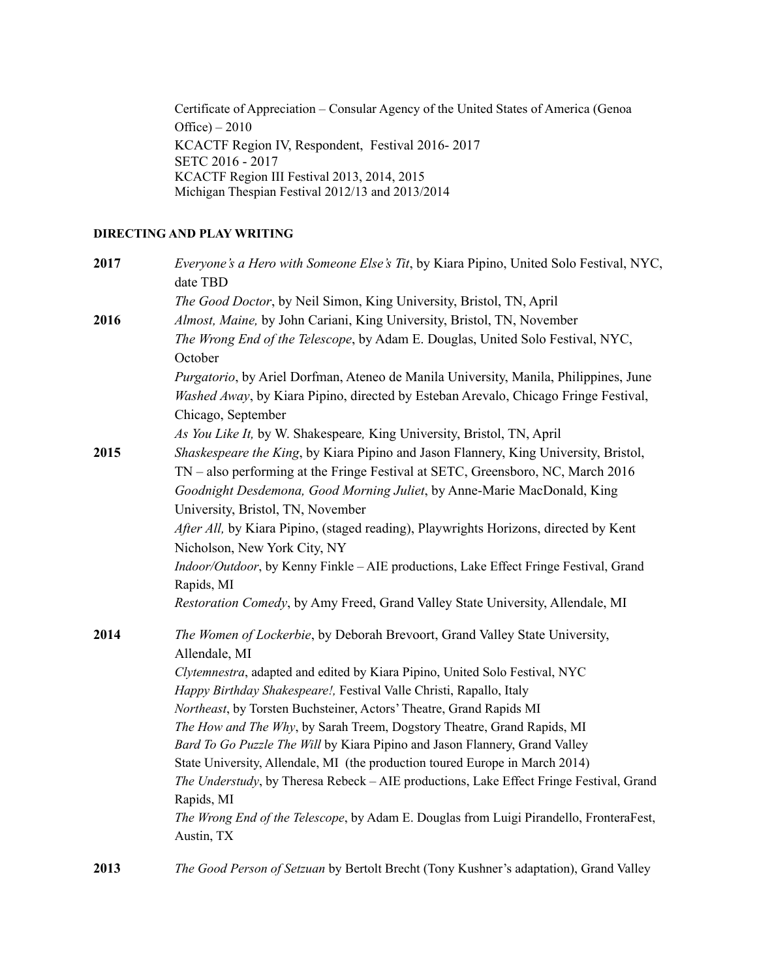Certificate of Appreciation – Consular Agency of the United States of America (Genoa Office) – 2010 KCACTF Region IV, Respondent, Festival 2016- 2017 SETC 2016 - 2017 KCACTF Region III Festival 2013, 2014, 2015 Michigan Thespian Festival 2012/13 and 2013/2014

# **DIRECTING AND PLAY WRITING**

| 2017 | Everyone's a Hero with Someone Else's Tit, by Kiara Pipino, United Solo Festival, NYC,<br>date TBD    |
|------|-------------------------------------------------------------------------------------------------------|
|      | The Good Doctor, by Neil Simon, King University, Bristol, TN, April                                   |
| 2016 | Almost, Maine, by John Cariani, King University, Bristol, TN, November                                |
|      | The Wrong End of the Telescope, by Adam E. Douglas, United Solo Festival, NYC,                        |
|      | October                                                                                               |
|      | Purgatorio, by Ariel Dorfman, Ateneo de Manila University, Manila, Philippines, June                  |
|      | Washed Away, by Kiara Pipino, directed by Esteban Arevalo, Chicago Fringe Festival,                   |
|      | Chicago, September                                                                                    |
|      | As You Like It, by W. Shakespeare, King University, Bristol, TN, April                                |
| 2015 | Shaskespeare the King, by Kiara Pipino and Jason Flannery, King University, Bristol,                  |
|      | TN - also performing at the Fringe Festival at SETC, Greensboro, NC, March 2016                       |
|      | Goodnight Desdemona, Good Morning Juliet, by Anne-Marie MacDonald, King                               |
|      | University, Bristol, TN, November                                                                     |
|      | After All, by Kiara Pipino, (staged reading), Playwrights Horizons, directed by Kent                  |
|      | Nicholson, New York City, NY                                                                          |
|      | Indoor/Outdoor, by Kenny Finkle - AIE productions, Lake Effect Fringe Festival, Grand                 |
|      | Rapids, MI                                                                                            |
|      | Restoration Comedy, by Amy Freed, Grand Valley State University, Allendale, MI                        |
| 2014 | The Women of Lockerbie, by Deborah Brevoort, Grand Valley State University,                           |
|      | Allendale, MI                                                                                         |
|      | Clytemnestra, adapted and edited by Kiara Pipino, United Solo Festival, NYC                           |
|      | Happy Birthday Shakespeare!, Festival Valle Christi, Rapallo, Italy                                   |
|      | Northeast, by Torsten Buchsteiner, Actors' Theatre, Grand Rapids MI                                   |
|      | The How and The Why, by Sarah Treem, Dogstory Theatre, Grand Rapids, MI                               |
|      | Bard To Go Puzzle The Will by Kiara Pipino and Jason Flannery, Grand Valley                           |
|      | State University, Allendale, MI (the production toured Europe in March 2014)                          |
|      | The Understudy, by Theresa Rebeck - AIE productions, Lake Effect Fringe Festival, Grand               |
|      | Rapids, MI                                                                                            |
|      | The Wrong End of the Telescope, by Adam E. Douglas from Luigi Pirandello, FronteraFest,<br>Austin, TX |
|      |                                                                                                       |
| 2013 | The Good Person of Setzuan by Bertolt Brecht (Tony Kushner's adaptation), Grand Valley                |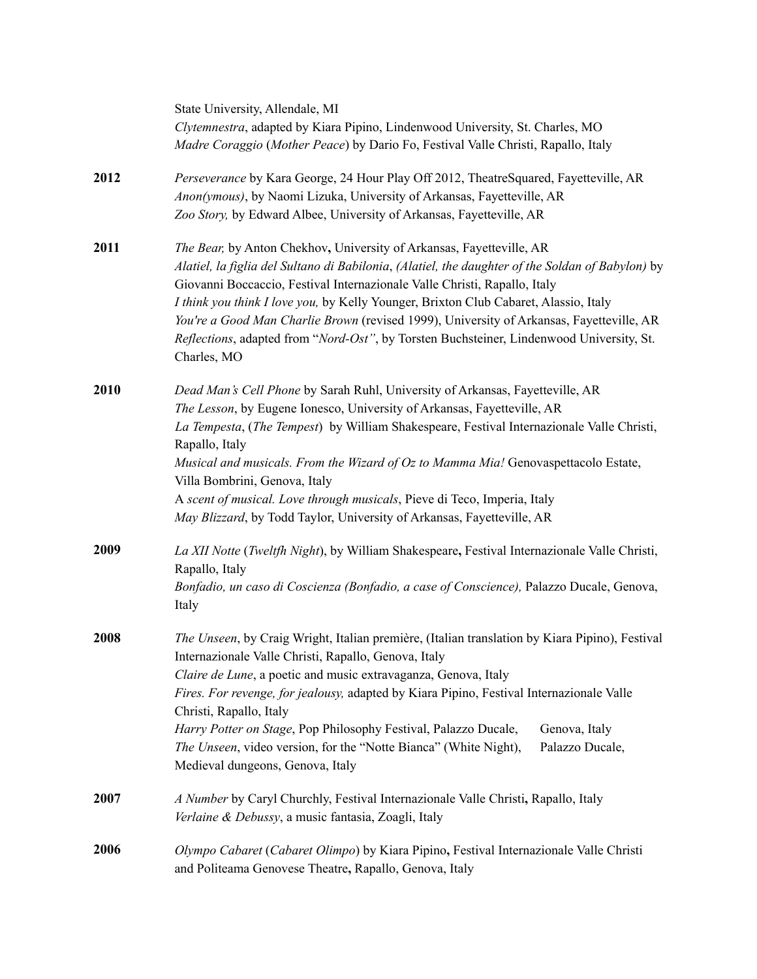|      | State University, Allendale, MI<br>Clytemnestra, adapted by Kiara Pipino, Lindenwood University, St. Charles, MO<br>Madre Coraggio (Mother Peace) by Dario Fo, Festival Valle Christi, Rapallo, Italy                                                                                                                                                                                                                                                                                                                                                          |
|------|----------------------------------------------------------------------------------------------------------------------------------------------------------------------------------------------------------------------------------------------------------------------------------------------------------------------------------------------------------------------------------------------------------------------------------------------------------------------------------------------------------------------------------------------------------------|
| 2012 | Perseverance by Kara George, 24 Hour Play Off 2012, TheatreSquared, Fayetteville, AR<br>Anon(ymous), by Naomi Lizuka, University of Arkansas, Fayetteville, AR<br>Zoo Story, by Edward Albee, University of Arkansas, Fayetteville, AR                                                                                                                                                                                                                                                                                                                         |
| 2011 | The Bear, by Anton Chekhov, University of Arkansas, Fayetteville, AR<br>Alatiel, la figlia del Sultano di Babilonia, (Alatiel, the daughter of the Soldan of Babylon) by<br>Giovanni Boccaccio, Festival Internazionale Valle Christi, Rapallo, Italy<br>I think you think I love you, by Kelly Younger, Brixton Club Cabaret, Alassio, Italy<br>You're a Good Man Charlie Brown (revised 1999), University of Arkansas, Fayetteville, AR<br>Reflections, adapted from "Nord-Ost", by Torsten Buchsteiner, Lindenwood University, St.<br>Charles, MO           |
| 2010 | Dead Man's Cell Phone by Sarah Ruhl, University of Arkansas, Fayetteville, AR<br>The Lesson, by Eugene Ionesco, University of Arkansas, Fayetteville, AR<br>La Tempesta, (The Tempest) by William Shakespeare, Festival Internazionale Valle Christi,<br>Rapallo, Italy<br>Musical and musicals. From the Wizard of Oz to Mamma Mia! Genovaspettacolo Estate,<br>Villa Bombrini, Genova, Italy<br>A scent of musical. Love through musicals, Pieve di Teco, Imperia, Italy<br>May Blizzard, by Todd Taylor, University of Arkansas, Fayetteville, AR           |
| 2009 | La XII Notte (Tweltfh Night), by William Shakespeare, Festival Internazionale Valle Christi,<br>Rapallo, Italy<br>Bonfadio, un caso di Coscienza (Bonfadio, a case of Conscience), Palazzo Ducale, Genova,<br>Italy                                                                                                                                                                                                                                                                                                                                            |
| 2008 | The Unseen, by Craig Wright, Italian première, (Italian translation by Kiara Pipino), Festival<br>Internazionale Valle Christi, Rapallo, Genova, Italy<br>Claire de Lune, a poetic and music extravaganza, Genova, Italy<br>Fires. For revenge, for jealousy, adapted by Kiara Pipino, Festival Internazionale Valle<br>Christi, Rapallo, Italy<br>Harry Potter on Stage, Pop Philosophy Festival, Palazzo Ducale,<br>Genova, Italy<br>The Unseen, video version, for the "Notte Bianca" (White Night),<br>Palazzo Ducale,<br>Medieval dungeons, Genova, Italy |
| 2007 | A Number by Caryl Churchly, Festival Internazionale Valle Christi, Rapallo, Italy<br>Verlaine & Debussy, a music fantasia, Zoagli, Italy                                                                                                                                                                                                                                                                                                                                                                                                                       |
| 2006 | Olympo Cabaret (Cabaret Olimpo) by Kiara Pipino, Festival Internazionale Valle Christi<br>and Politeama Genovese Theatre, Rapallo, Genova, Italy                                                                                                                                                                                                                                                                                                                                                                                                               |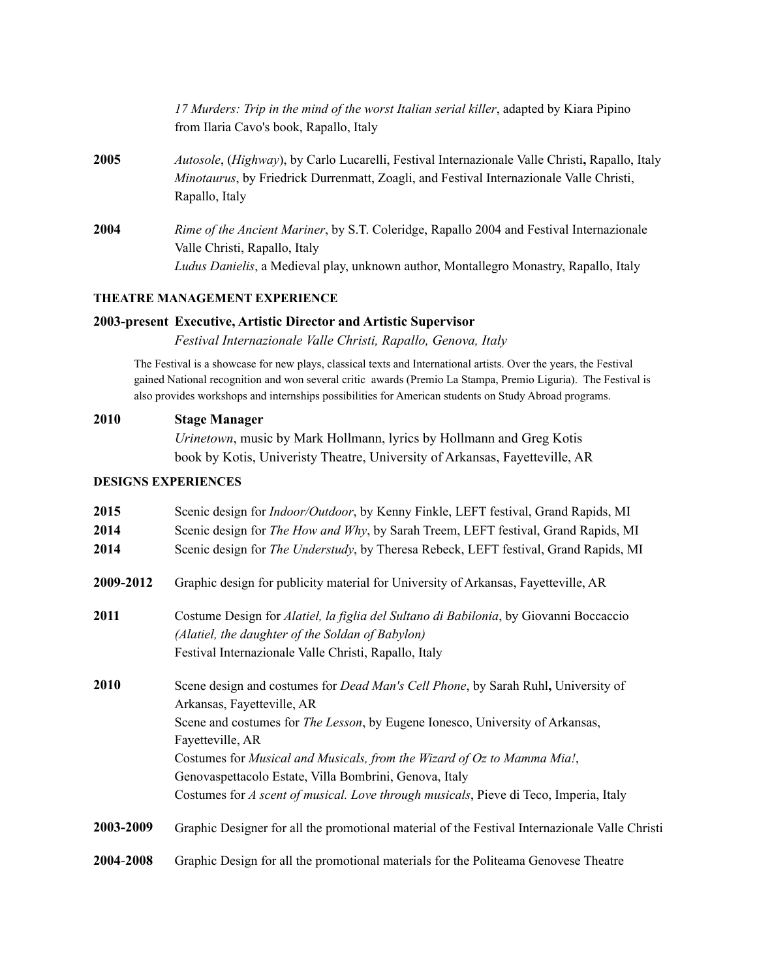*17 Murders: Trip in the mind of the worst Italian serial killer*, adapted by Kiara Pipino from Ilaria Cavo's book, Rapallo, Italy

- **2005** *Autosole*, (*Highway*), by Carlo Lucarelli, Festival Internazionale Valle Christi**,** Rapallo, Italy *Minotaurus*, by Friedrick Durrenmatt, Zoagli, and Festival Internazionale Valle Christi, Rapallo, Italy
- **2004** *Rime of the Ancient Mariner*, by S.T. Coleridge, Rapallo 2004 and Festival Internazionale Valle Christi, Rapallo, Italy *Ludus Danielis*, a Medieval play, unknown author, Montallegro Monastry, Rapallo, Italy

#### **THEATRE MANAGEMENT EXPERIENCE**

### **2003-present Executive, Artistic Director and Artistic Supervisor**

*Festival Internazionale Valle Christi, Rapallo, Genova, Italy*

The Festival is a showcase for new plays, classical texts and International artists. Over the years, the Festival gained National recognition and won several critic awards (Premio La Stampa, Premio Liguria). The Festival is also provides workshops and internships possibilities for American students on Study Abroad programs.

#### **2010 Stage Manager**

*Urinetown*, music by Mark Hollmann, lyrics by Hollmann and Greg Kotis book by Kotis, Univeristy Theatre, University of Arkansas, Fayetteville, AR

#### **DESIGNS EXPERIENCES**

| 2015      | Scenic design for <i>Indoor/Outdoor</i> , by Kenny Finkle, LEFT festival, Grand Rapids, MI     |
|-----------|------------------------------------------------------------------------------------------------|
| 2014      | Scenic design for The How and Why, by Sarah Treem, LEFT festival, Grand Rapids, MI             |
| 2014      | Scenic design for <i>The Understudy</i> , by Theresa Rebeck, LEFT festival, Grand Rapids, MI   |
| 2009-2012 | Graphic design for publicity material for University of Arkansas, Fayetteville, AR             |
| 2011      | Costume Design for Alatiel, la figlia del Sultano di Babilonia, by Giovanni Boccaccio          |
|           | (Alatiel, the daughter of the Soldan of Babylon)                                               |
|           | Festival Internazionale Valle Christi, Rapallo, Italy                                          |
| 2010      | Scene design and costumes for <i>Dead Man's Cell Phone</i> , by Sarah Ruhl, University of      |
|           | Arkansas, Fayetteville, AR                                                                     |
|           | Scene and costumes for <i>The Lesson</i> , by Eugene Ionesco, University of Arkansas,          |
|           | Fayetteville, AR                                                                               |
|           | Costumes for Musical and Musicals, from the Wizard of Oz to Mamma Mia!,                        |
|           | Genovaspettacolo Estate, Villa Bombrini, Genova, Italy                                         |
|           | Costumes for A scent of musical. Love through musicals, Pieve di Teco, Imperia, Italy          |
| 2003-2009 | Graphic Designer for all the promotional material of the Festival Internazionale Valle Christi |
| 2004-2008 | Graphic Design for all the promotional materials for the Politeama Genovese Theatre            |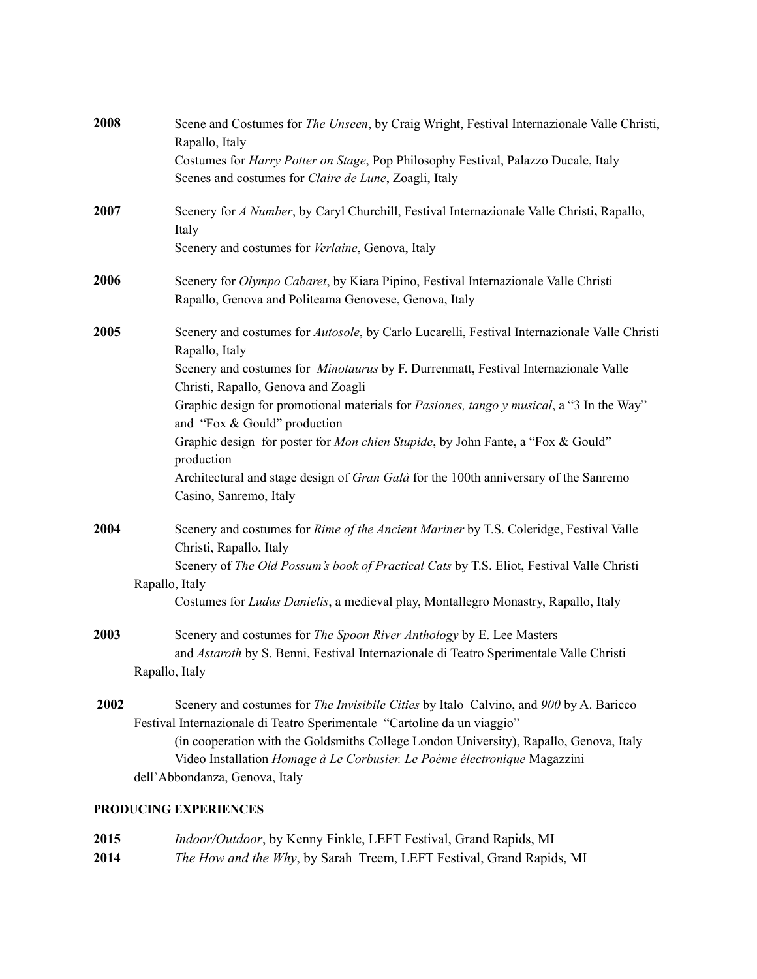| 2008 | Scene and Costumes for The Unseen, by Craig Wright, Festival Internazionale Valle Christi,<br>Rapallo, Italy                                                                                                                                                                                                                                                                |
|------|-----------------------------------------------------------------------------------------------------------------------------------------------------------------------------------------------------------------------------------------------------------------------------------------------------------------------------------------------------------------------------|
|      | Costumes for <i>Harry Potter on Stage</i> , Pop Philosophy Festival, Palazzo Ducale, Italy<br>Scenes and costumes for Claire de Lune, Zoagli, Italy                                                                                                                                                                                                                         |
| 2007 | Scenery for A Number, by Caryl Churchill, Festival Internazionale Valle Christi, Rapallo,<br>Italy                                                                                                                                                                                                                                                                          |
|      | Scenery and costumes for Verlaine, Genova, Italy                                                                                                                                                                                                                                                                                                                            |
| 2006 | Scenery for Olympo Cabaret, by Kiara Pipino, Festival Internazionale Valle Christi<br>Rapallo, Genova and Politeama Genovese, Genova, Italy                                                                                                                                                                                                                                 |
| 2005 | Scenery and costumes for Autosole, by Carlo Lucarelli, Festival Internazionale Valle Christi<br>Rapallo, Italy                                                                                                                                                                                                                                                              |
|      | Scenery and costumes for Minotaurus by F. Durrenmatt, Festival Internazionale Valle<br>Christi, Rapallo, Genova and Zoagli                                                                                                                                                                                                                                                  |
|      | Graphic design for promotional materials for Pasiones, tango y musical, a "3 In the Way"<br>and "Fox & Gould" production                                                                                                                                                                                                                                                    |
|      | Graphic design for poster for Mon chien Stupide, by John Fante, a "Fox & Gould"<br>production                                                                                                                                                                                                                                                                               |
|      | Architectural and stage design of <i>Gran Galà</i> for the 100th anniversary of the Sanremo<br>Casino, Sanremo, Italy                                                                                                                                                                                                                                                       |
| 2004 | Scenery and costumes for Rime of the Ancient Mariner by T.S. Coleridge, Festival Valle<br>Christi, Rapallo, Italy                                                                                                                                                                                                                                                           |
|      | Scenery of The Old Possum's book of Practical Cats by T.S. Eliot, Festival Valle Christi<br>Rapallo, Italy                                                                                                                                                                                                                                                                  |
|      | Costumes for Ludus Danielis, a medieval play, Montallegro Monastry, Rapallo, Italy                                                                                                                                                                                                                                                                                          |
| 2003 | Scenery and costumes for The Spoon River Anthology by E. Lee Masters<br>and Astaroth by S. Benni, Festival Internazionale di Teatro Sperimentale Valle Christi                                                                                                                                                                                                              |
|      | Rapallo, Italy                                                                                                                                                                                                                                                                                                                                                              |
| 2002 | Scenery and costumes for The Invisibile Cities by Italo Calvino, and 900 by A. Baricco<br>Festival Internazionale di Teatro Sperimentale "Cartoline da un viaggio"<br>(in cooperation with the Goldsmiths College London University), Rapallo, Genova, Italy<br>Video Installation Homage à Le Corbusier. Le Poème électronique Magazzini<br>dell'Abbondanza, Genova, Italy |
|      |                                                                                                                                                                                                                                                                                                                                                                             |

# **PRODUCING EXPERIENCES**

| 2015 | Indoor/Outdoor, by Kenny Finkle, LEFT Festival, Grand Rapids, MI     |
|------|----------------------------------------------------------------------|
| 2014 | The How and the Why, by Sarah Treem, LEFT Festival, Grand Rapids, MI |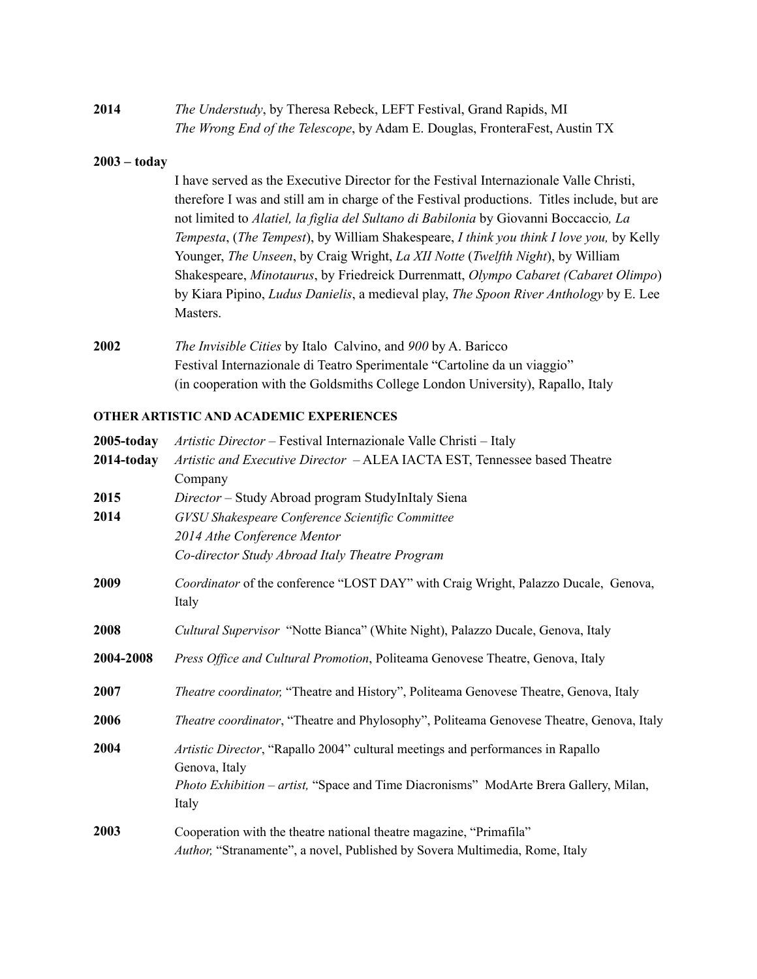| 2014 | The Understudy, by Theresa Rebeck, LEFT Festival, Grand Rapids, MI                 |
|------|------------------------------------------------------------------------------------|
|      | <i>The Wrong End of the Telescope, by Adam E. Douglas, FronteraFest, Austin TX</i> |

#### **2003 – today**

I have served as the Executive Director for the Festival Internazionale Valle Christi, therefore I was and still am in charge of the Festival productions. Titles include, but are not limited to *Alatiel, la figlia del Sultano di Babilonia* by Giovanni Boccaccio*, La Tempesta*, (*The Tempest*), by William Shakespeare, *I think you think I love you,* by Kelly Younger, *The Unseen*, by Craig Wright, *La XII Notte* (*Twelfth Night*), by William Shakespeare, *Minotaurus*, by Friedreick Durrenmatt, *Olympo Cabaret (Cabaret Olimpo*) by Kiara Pipino, *Ludus Danielis*, a medieval play, *The Spoon River Anthology* by E. Lee Masters.

**2002** *The Invisible Cities* by Italo Calvino, and *900* by A. Baricco Festival Internazionale di Teatro Sperimentale "Cartoline da un viaggio" (in cooperation with the Goldsmiths College London University), Rapallo, Italy

#### **OTHER ARTISTIC AND ACADEMIC EXPERIENCES**

| $2005$ -today | Artistic Director – Festival Internazionale Valle Christi – Italy                                                                                  |
|---------------|----------------------------------------------------------------------------------------------------------------------------------------------------|
| $2014$ -today | Artistic and Executive Director - ALEA IACTA EST, Tennessee based Theatre                                                                          |
|               | Company                                                                                                                                            |
| 2015          | Director - Study Abroad program StudyInItaly Siena                                                                                                 |
| 2014          | GVSU Shakespeare Conference Scientific Committee                                                                                                   |
|               | 2014 Athe Conference Mentor                                                                                                                        |
|               | Co-director Study Abroad Italy Theatre Program                                                                                                     |
| 2009          | Coordinator of the conference "LOST DAY" with Craig Wright, Palazzo Ducale, Genova,<br>Italy                                                       |
| 2008          | <i>Cultural Supervisor</i> "Notte Bianca" (White Night), Palazzo Ducale, Genova, Italy                                                             |
| 2004-2008     | Press Office and Cultural Promotion, Politeama Genovese Theatre, Genova, Italy                                                                     |
| 2007          | Theatre coordinator, "Theatre and History", Politeama Genovese Theatre, Genova, Italy                                                              |
| 2006          | Theatre coordinator, "Theatre and Phylosophy", Politeama Genovese Theatre, Genova, Italy                                                           |
| 2004          | Artistic Director, "Rapallo 2004" cultural meetings and performances in Rapallo<br>Genova, Italy                                                   |
|               | <i>Photo Exhibition – artist,</i> "Space and Time Diacronisms" ModArte Brera Gallery, Milan,<br>Italy                                              |
| 2003          | Cooperation with the theatre national theatre magazine, "Primafila"<br>Author, "Stranamente", a novel, Published by Sovera Multimedia, Rome, Italy |